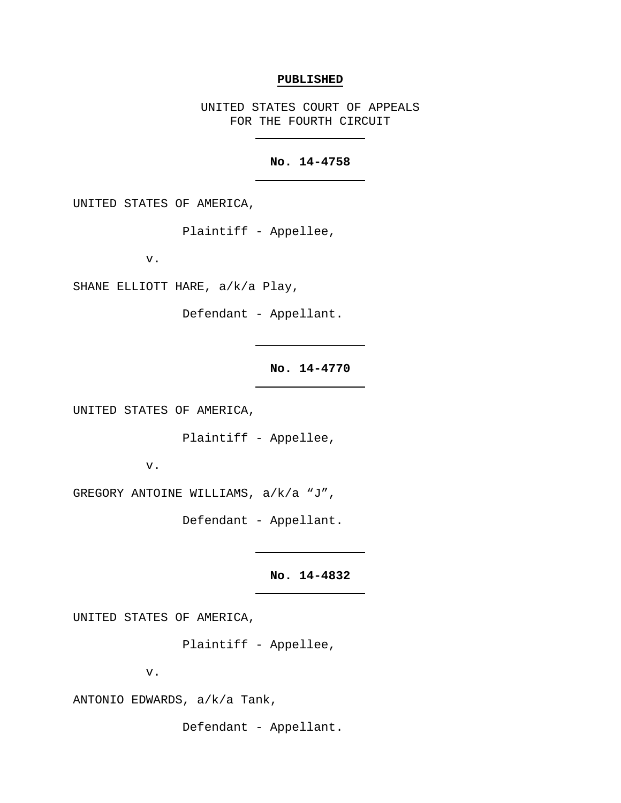## **PUBLISHED**

UNITED STATES COURT OF APPEALS FOR THE FOURTH CIRCUIT

## **No. 14-4758**

UNITED STATES OF AMERICA,

Plaintiff - Appellee,

v.

SHANE ELLIOTT HARE, a/k/a Play,

Defendant - Appellant.

**No. 14-4770**

UNITED STATES OF AMERICA,

Plaintiff - Appellee,

v.

GREGORY ANTOINE WILLIAMS, a/k/a "J",

Defendant - Appellant.

**No. 14-4832**

UNITED STATES OF AMERICA,

Plaintiff - Appellee,

v.

ANTONIO EDWARDS, a/k/a Tank,

Defendant - Appellant.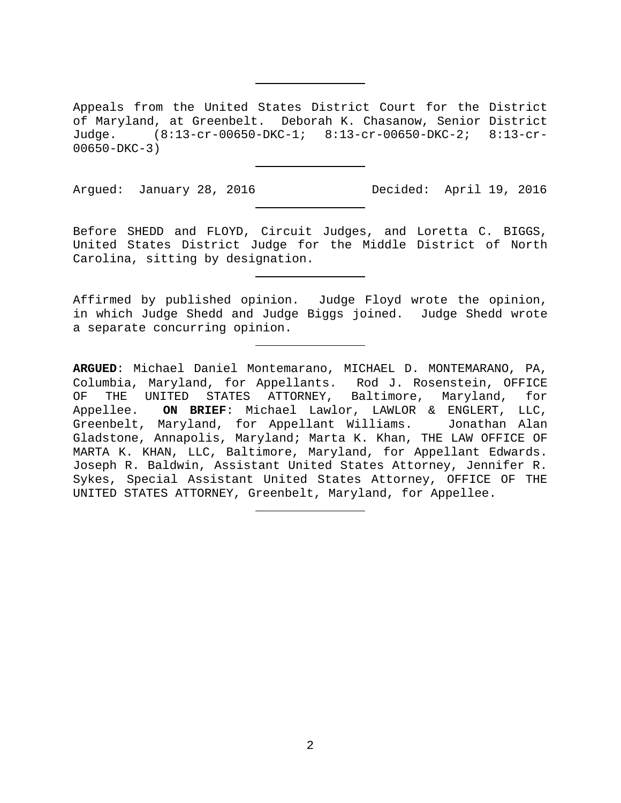Appeals from the United States District Court for the District of Maryland, at Greenbelt. Deborah K. Chasanow, Senior District Judge. (8:13-cr-00650-DKC-1; 8:13-cr-00650-DKC-2; 8:13-cr-00650-DKC-3)

Argued: January 28, 2016 Decided: April 19, 2016

Before SHEDD and FLOYD, Circuit Judges, and Loretta C. BIGGS, United States District Judge for the Middle District of North Carolina, sitting by designation.

Affirmed by published opinion. Judge Floyd wrote the opinion, in which Judge Shedd and Judge Biggs joined. Judge Shedd wrote a separate concurring opinion.

**ARGUED**: Michael Daniel Montemarano, MICHAEL D. MONTEMARANO, PA, Columbia, Maryland, for Appellants. Rod J. Rosenstein, OFFICE OF THE UNITED STATES ATTORNEY, Baltimore, Maryland, for Appellee. **ON BRIEF**: Michael Lawlor, LAWLOR & ENGLERT, LLC, Greenbelt, Maryland, for Appellant Williams. Jonathan Alan Gladstone, Annapolis, Maryland; Marta K. Khan, THE LAW OFFICE OF MARTA K. KHAN, LLC, Baltimore, Maryland, for Appellant Edwards. Joseph R. Baldwin, Assistant United States Attorney, Jennifer R. Sykes, Special Assistant United States Attorney, OFFICE OF THE UNITED STATES ATTORNEY, Greenbelt, Maryland, for Appellee.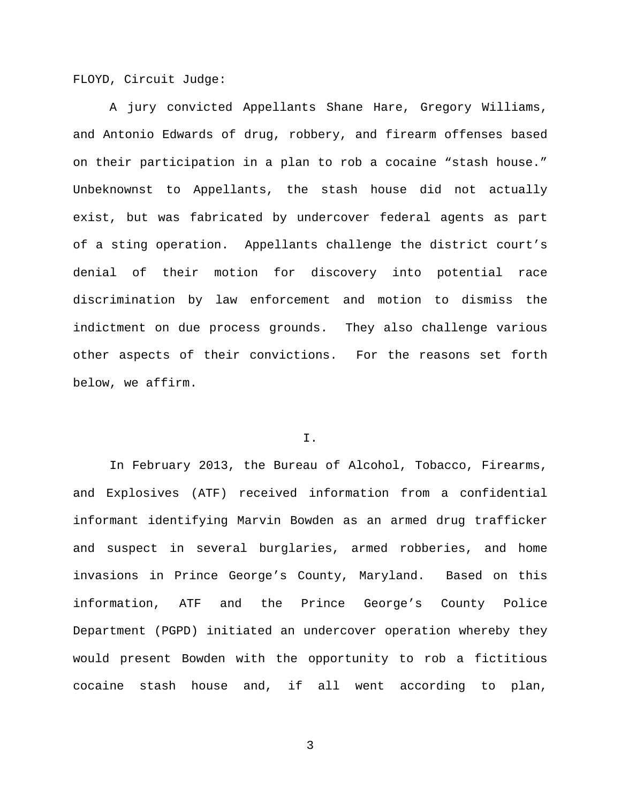FLOYD, Circuit Judge:

A jury convicted Appellants Shane Hare, Gregory Williams, and Antonio Edwards of drug, robbery, and firearm offenses based on their participation in a plan to rob a cocaine "stash house." Unbeknownst to Appellants, the stash house did not actually exist, but was fabricated by undercover federal agents as part of a sting operation. Appellants challenge the district court's denial of their motion for discovery into potential race discrimination by law enforcement and motion to dismiss the indictment on due process grounds. They also challenge various other aspects of their convictions. For the reasons set forth below, we affirm.

## I.

In February 2013, the Bureau of Alcohol, Tobacco, Firearms, and Explosives (ATF) received information from a confidential informant identifying Marvin Bowden as an armed drug trafficker and suspect in several burglaries, armed robberies, and home invasions in Prince George's County, Maryland. Based on this information, ATF and the Prince George's County Police Department (PGPD) initiated an undercover operation whereby they would present Bowden with the opportunity to rob a fictitious cocaine stash house and, if all went according to plan,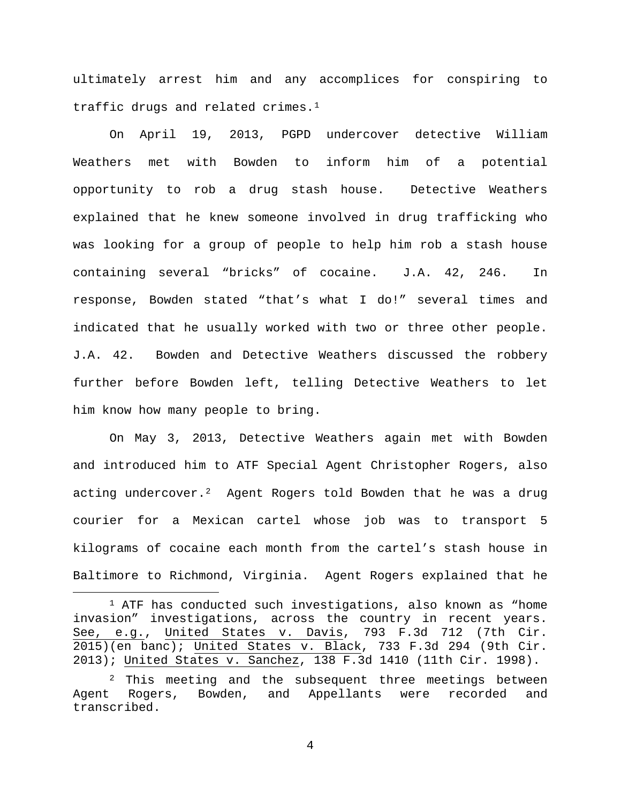ultimately arrest him and any accomplices for conspiring to traffic drugs and related crimes.<sup>[1](#page-3-0)</sup>

On April 19, 2013, PGPD undercover detective William Weathers met with Bowden to inform him of a potential opportunity to rob a drug stash house. Detective Weathers explained that he knew someone involved in drug trafficking who was looking for a group of people to help him rob a stash house containing several "bricks" of cocaine. J.A. 42, 246. In response, Bowden stated "that's what I do!" several times and indicated that he usually worked with two or three other people. J.A. 42. Bowden and Detective Weathers discussed the robbery further before Bowden left, telling Detective Weathers to let him know how many people to bring.

On May 3, 2013, Detective Weathers again met with Bowden and introduced him to ATF Special Agent Christopher Rogers, also acting undercover.<sup>2</sup> Agent Rogers told Bowden that he was a drug courier for a Mexican cartel whose job was to transport 5 kilograms of cocaine each month from the cartel's stash house in Baltimore to Richmond, Virginia. Agent Rogers explained that he

<span id="page-3-0"></span> $1$  ATF has conducted such investigations, also known as "home invasion" investigations, across the country in recent years. See, e.g., United States v. Davis, 793 F.3d 712 (7th Cir. 2015)(en banc); United States v. Black, 733 F.3d 294 (9th Cir. 2013); United States v. Sanchez, 138 F.3d 1410 (11th Cir. 1998).

<span id="page-3-1"></span><sup>&</sup>lt;sup>2</sup> This meeting and the subsequent three meetings between Agent Rogers, Bowden, and Appellants were recorded and transcribed.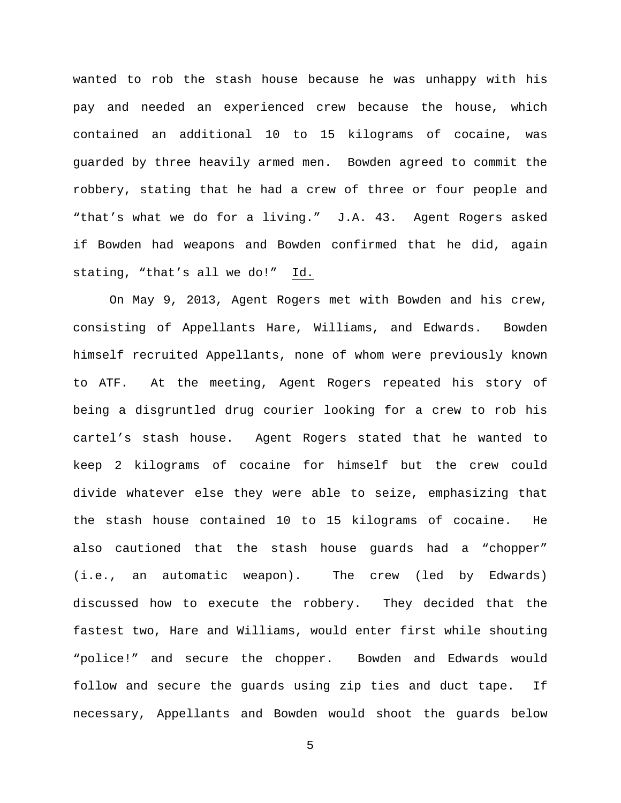wanted to rob the stash house because he was unhappy with his pay and needed an experienced crew because the house, which contained an additional 10 to 15 kilograms of cocaine, was guarded by three heavily armed men. Bowden agreed to commit the robbery, stating that he had a crew of three or four people and "that's what we do for a living." J.A. 43. Agent Rogers asked if Bowden had weapons and Bowden confirmed that he did, again stating, "that's all we do!" Id.

On May 9, 2013, Agent Rogers met with Bowden and his crew, consisting of Appellants Hare, Williams, and Edwards. Bowden himself recruited Appellants, none of whom were previously known to ATF. At the meeting, Agent Rogers repeated his story of being a disgruntled drug courier looking for a crew to rob his cartel's stash house. Agent Rogers stated that he wanted to keep 2 kilograms of cocaine for himself but the crew could divide whatever else they were able to seize, emphasizing that the stash house contained 10 to 15 kilograms of cocaine. He also cautioned that the stash house guards had a "chopper" (i.e., an automatic weapon). The crew (led by Edwards) discussed how to execute the robbery. They decided that the fastest two, Hare and Williams, would enter first while shouting "police!" and secure the chopper. Bowden and Edwards would follow and secure the guards using zip ties and duct tape. If necessary, Appellants and Bowden would shoot the guards below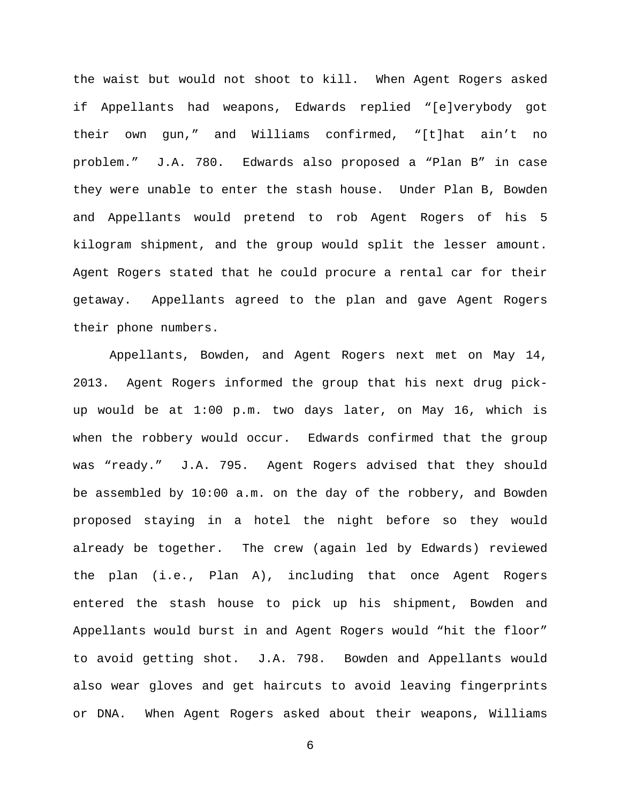the waist but would not shoot to kill. When Agent Rogers asked if Appellants had weapons, Edwards replied "[e]verybody got their own gun," and Williams confirmed, "[t]hat ain't no problem." J.A. 780. Edwards also proposed a "Plan B" in case they were unable to enter the stash house. Under Plan B, Bowden and Appellants would pretend to rob Agent Rogers of his 5 kilogram shipment, and the group would split the lesser amount. Agent Rogers stated that he could procure a rental car for their getaway. Appellants agreed to the plan and gave Agent Rogers their phone numbers.

Appellants, Bowden, and Agent Rogers next met on May 14, 2013. Agent Rogers informed the group that his next drug pickup would be at 1:00 p.m. two days later, on May 16, which is when the robbery would occur. Edwards confirmed that the group was "ready." J.A. 795. Agent Rogers advised that they should be assembled by 10:00 a.m. on the day of the robbery, and Bowden proposed staying in a hotel the night before so they would already be together. The crew (again led by Edwards) reviewed the plan (i.e., Plan A), including that once Agent Rogers entered the stash house to pick up his shipment, Bowden and Appellants would burst in and Agent Rogers would "hit the floor" to avoid getting shot. J.A. 798. Bowden and Appellants would also wear gloves and get haircuts to avoid leaving fingerprints or DNA. When Agent Rogers asked about their weapons, Williams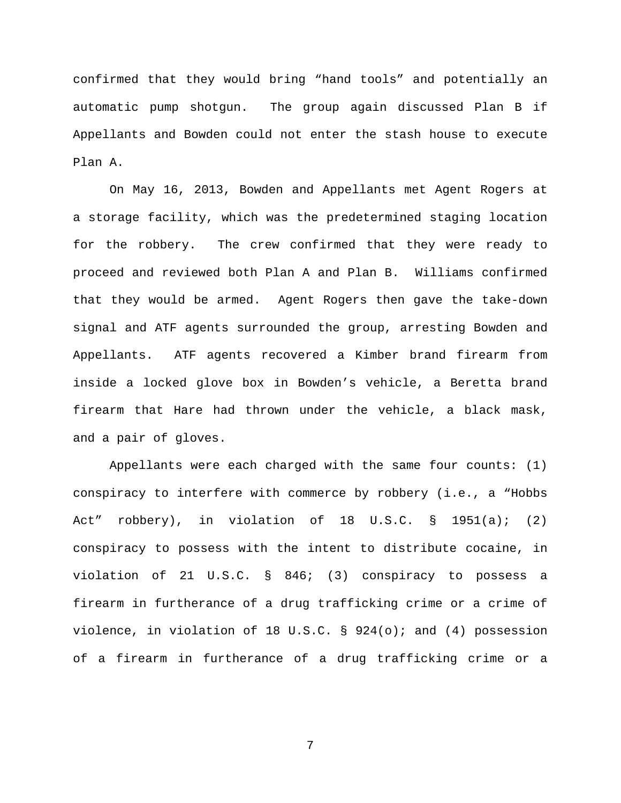confirmed that they would bring "hand tools" and potentially an automatic pump shotgun. The group again discussed Plan B if Appellants and Bowden could not enter the stash house to execute Plan A.

On May 16, 2013, Bowden and Appellants met Agent Rogers at a storage facility, which was the predetermined staging location for the robbery. The crew confirmed that they were ready to proceed and reviewed both Plan A and Plan B. Williams confirmed that they would be armed. Agent Rogers then gave the take-down signal and ATF agents surrounded the group, arresting Bowden and Appellants. ATF agents recovered a Kimber brand firearm from inside a locked glove box in Bowden's vehicle, a Beretta brand firearm that Hare had thrown under the vehicle, a black mask, and a pair of gloves.

Appellants were each charged with the same four counts: (1) conspiracy to interfere with commerce by robbery (i.e., a "Hobbs Act" robbery), in violation of 18 U.S.C. § 1951(a); (2) conspiracy to possess with the intent to distribute cocaine, in violation of 21 U.S.C. § 846; (3) conspiracy to possess a firearm in furtherance of a drug trafficking crime or a crime of violence, in violation of 18 U.S.C.  $\S$  924(o); and (4) possession of a firearm in furtherance of a drug trafficking crime or a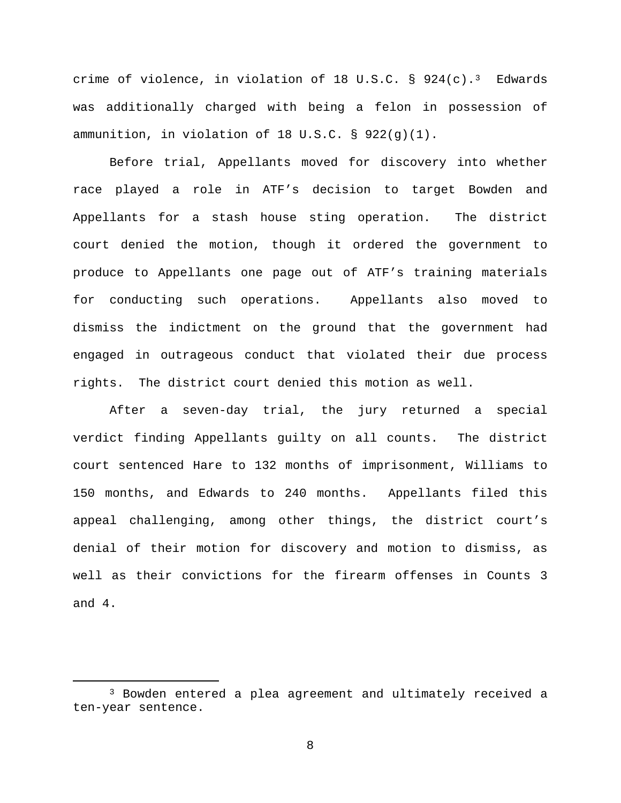crime of violence, in violation of 18 U.S.C.  $\S$  924(c).<sup>3</sup> Edwards was additionally charged with being a felon in possession of ammunition, in violation of 18 U.S.C. § 922(g)(1).

Before trial, Appellants moved for discovery into whether race played a role in ATF's decision to target Bowden and Appellants for a stash house sting operation. The district court denied the motion, though it ordered the government to produce to Appellants one page out of ATF's training materials for conducting such operations. Appellants also moved to dismiss the indictment on the ground that the government had engaged in outrageous conduct that violated their due process rights. The district court denied this motion as well.

After a seven-day trial, the jury returned a special verdict finding Appellants guilty on all counts. The district court sentenced Hare to 132 months of imprisonment, Williams to 150 months, and Edwards to 240 months. Appellants filed this appeal challenging, among other things, the district court's denial of their motion for discovery and motion to dismiss, as well as their convictions for the firearm offenses in Counts 3 and 4.

<span id="page-7-0"></span> <sup>3</sup> Bowden entered a plea agreement and ultimately received a ten-year sentence.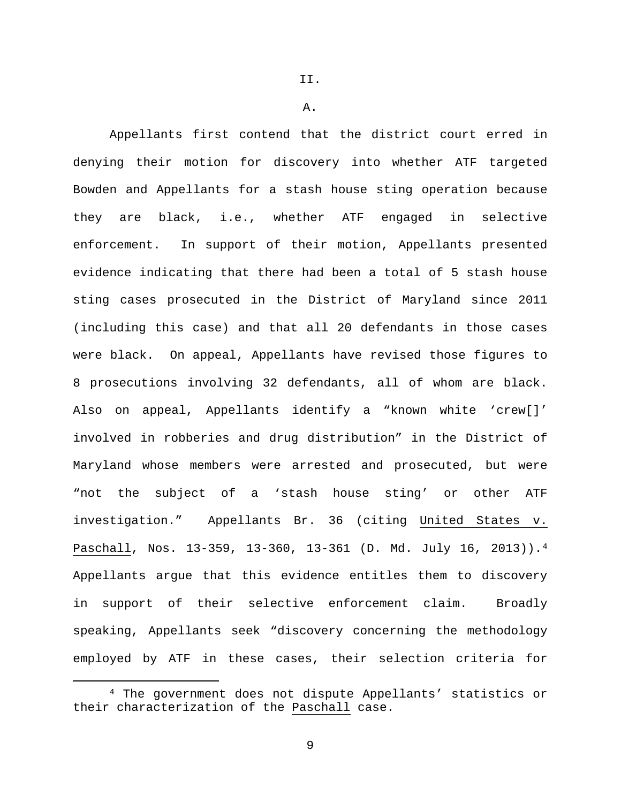II.

A.

Appellants first contend that the district court erred in denying their motion for discovery into whether ATF targeted Bowden and Appellants for a stash house sting operation because they are black, i.e., whether ATF engaged in selective enforcement. In support of their motion, Appellants presented evidence indicating that there had been a total of 5 stash house sting cases prosecuted in the District of Maryland since 2011 (including this case) and that all 20 defendants in those cases were black. On appeal, Appellants have revised those figures to 8 prosecutions involving 32 defendants, all of whom are black. Also on appeal, Appellants identify a "known white 'crew[]' involved in robberies and drug distribution" in the District of Maryland whose members were arrested and prosecuted, but were "not the subject of a 'stash house sting' or other ATF investigation." Appellants Br. 36 (citing United States v. Paschall, Nos. 13-359, 13-360, 13-361 (D. Md. July 16, 2013)).[4](#page-8-0) Appellants argue that this evidence entitles them to discovery in support of their selective enforcement claim. Broadly speaking, Appellants seek "discovery concerning the methodology employed by ATF in these cases, their selection criteria for

<span id="page-8-0"></span> <sup>4</sup> The government does not dispute Appellants' statistics or their characterization of the Paschall case.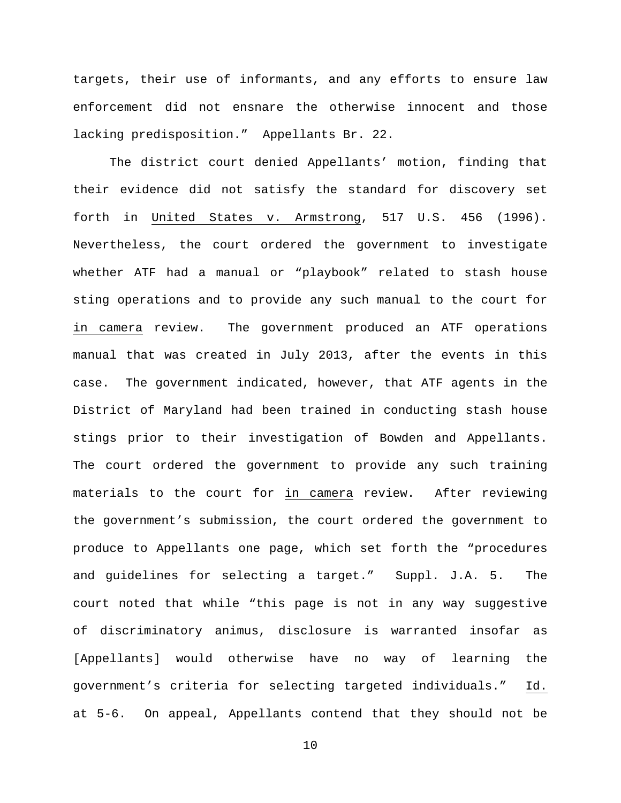targets, their use of informants, and any efforts to ensure law enforcement did not ensnare the otherwise innocent and those lacking predisposition." Appellants Br. 22.

The district court denied Appellants' motion, finding that their evidence did not satisfy the standard for discovery set forth in United States v. Armstrong, 517 U.S. 456 (1996). Nevertheless, the court ordered the government to investigate whether ATF had a manual or "playbook" related to stash house sting operations and to provide any such manual to the court for in camera review. The government produced an ATF operations manual that was created in July 2013, after the events in this case. The government indicated, however, that ATF agents in the District of Maryland had been trained in conducting stash house stings prior to their investigation of Bowden and Appellants. The court ordered the government to provide any such training materials to the court for in camera review. After reviewing the government's submission, the court ordered the government to produce to Appellants one page, which set forth the "procedures and guidelines for selecting a target." Suppl. J.A. 5. The court noted that while "this page is not in any way suggestive of discriminatory animus, disclosure is warranted insofar as [Appellants] would otherwise have no way of learning the government's criteria for selecting targeted individuals." Id. at 5-6. On appeal, Appellants contend that they should not be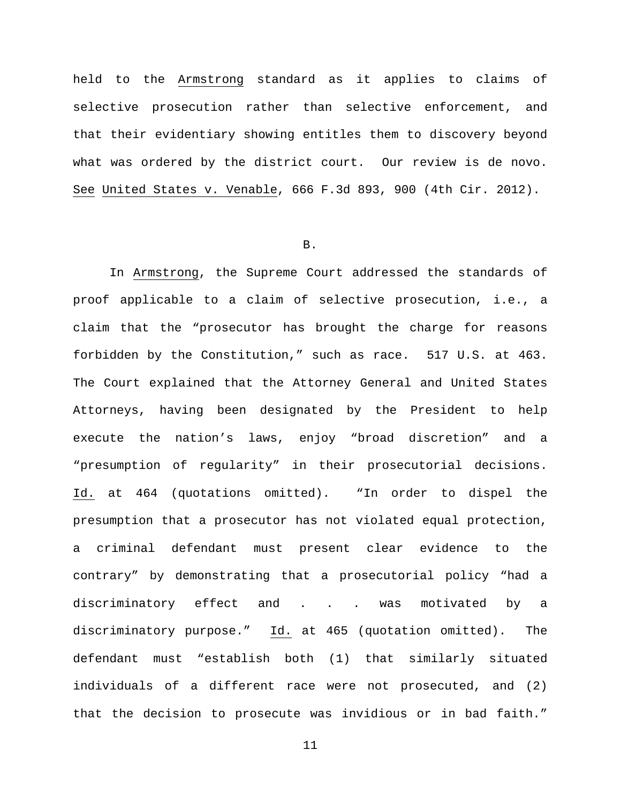held to the Armstrong standard as it applies to claims of selective prosecution rather than selective enforcement, and that their evidentiary showing entitles them to discovery beyond what was ordered by the district court. Our review is de novo. See United States v. Venable, 666 F.3d 893, 900 (4th Cir. 2012).

#### B.

In Armstrong, the Supreme Court addressed the standards of proof applicable to a claim of selective prosecution, i.e., a claim that the "prosecutor has brought the charge for reasons forbidden by the Constitution," such as race. 517 U.S. at 463. The Court explained that the Attorney General and United States Attorneys, having been designated by the President to help execute the nation's laws, enjoy "broad discretion" and a "presumption of regularity" in their prosecutorial decisions. Id. at 464 (quotations omitted). "In order to dispel the presumption that a prosecutor has not violated equal protection, a criminal defendant must present clear evidence to the contrary" by demonstrating that a prosecutorial policy "had a discriminatory effect and . . . was motivated by a discriminatory purpose." Id. at 465 (quotation omitted). The defendant must "establish both (1) that similarly situated individuals of a different race were not prosecuted, and (2) that the decision to prosecute was invidious or in bad faith."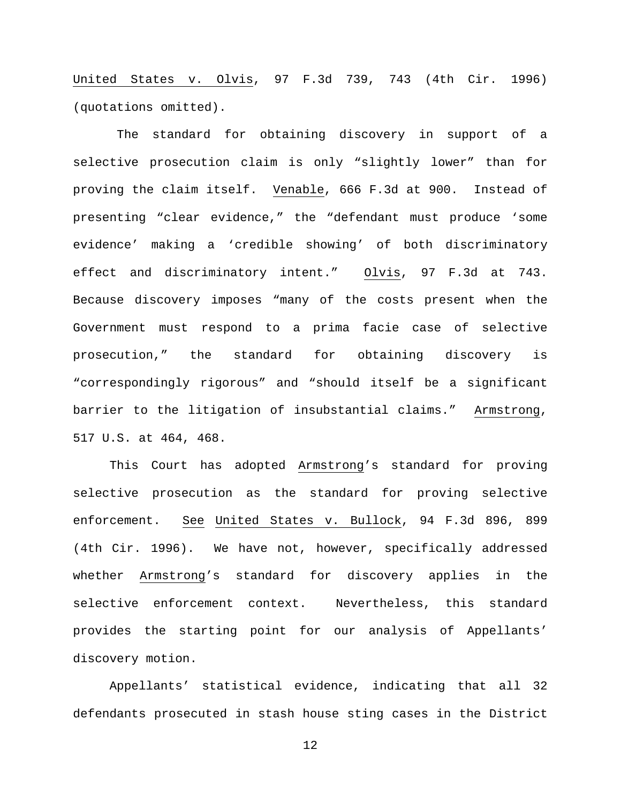United States v. Olvis, 97 F.3d 739, 743 (4th Cir. 1996) (quotations omitted).

The standard for obtaining discovery in support of a selective prosecution claim is only "slightly lower" than for proving the claim itself. Venable, 666 F.3d at 900. Instead of presenting "clear evidence," the "defendant must produce 'some evidence' making a 'credible showing' of both discriminatory effect and discriminatory intent." Olvis, 97 F.3d at 743. Because discovery imposes "many of the costs present when the Government must respond to a prima facie case of selective prosecution," the standard for obtaining discovery is "correspondingly rigorous" and "should itself be a significant barrier to the litigation of insubstantial claims." Armstrong, 517 U.S. at 464, 468.

This Court has adopted Armstrong's standard for proving selective prosecution as the standard for proving selective enforcement. See United States v. Bullock, 94 F.3d 896, 899 (4th Cir. 1996). We have not, however, specifically addressed whether Armstrong's standard for discovery applies in the selective enforcement context. Nevertheless, this standard provides the starting point for our analysis of Appellants' discovery motion.

Appellants' statistical evidence, indicating that all 32 defendants prosecuted in stash house sting cases in the District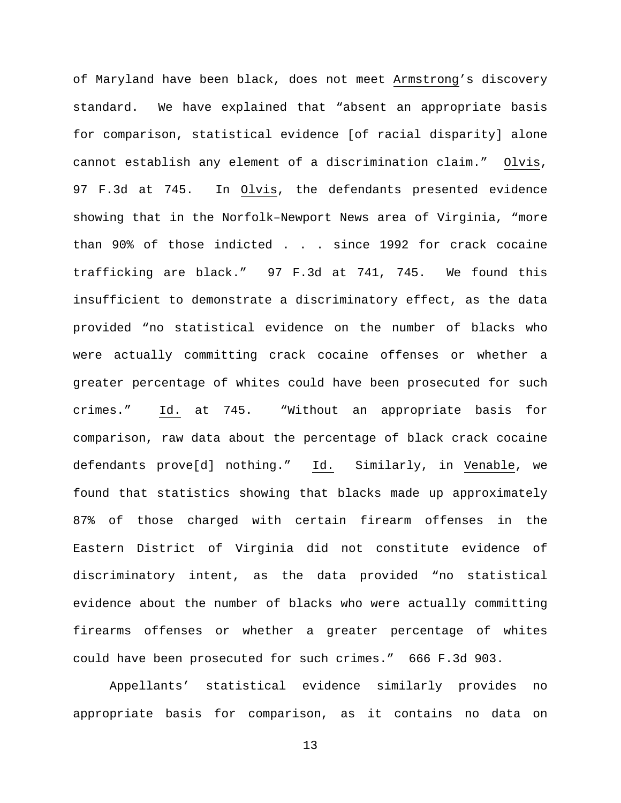of Maryland have been black, does not meet Armstrong's discovery standard. We have explained that "absent an appropriate basis for comparison, statistical evidence [of racial disparity] alone cannot establish any element of a discrimination claim." Olvis, 97 F.3d at 745. In Olvis, the defendants presented evidence showing that in the Norfolk–Newport News area of Virginia, "more than 90% of those indicted . . . since 1992 for crack cocaine trafficking are black." 97 F.3d at 741, 745. We found this insufficient to demonstrate a discriminatory effect, as the data provided "no statistical evidence on the number of blacks who were actually committing crack cocaine offenses or whether a greater percentage of whites could have been prosecuted for such crimes." Id. at 745. "Without an appropriate basis for comparison, raw data about the percentage of black crack cocaine defendants prove[d] nothing." Id. Similarly, in Venable, we found that statistics showing that blacks made up approximately 87% of those charged with certain firearm offenses in the Eastern District of Virginia did not constitute evidence of discriminatory intent, as the data provided "no statistical evidence about the number of blacks who were actually committing firearms offenses or whether a greater percentage of whites could have been prosecuted for such crimes." 666 F.3d 903.

Appellants' statistical evidence similarly provides no appropriate basis for comparison, as it contains no data on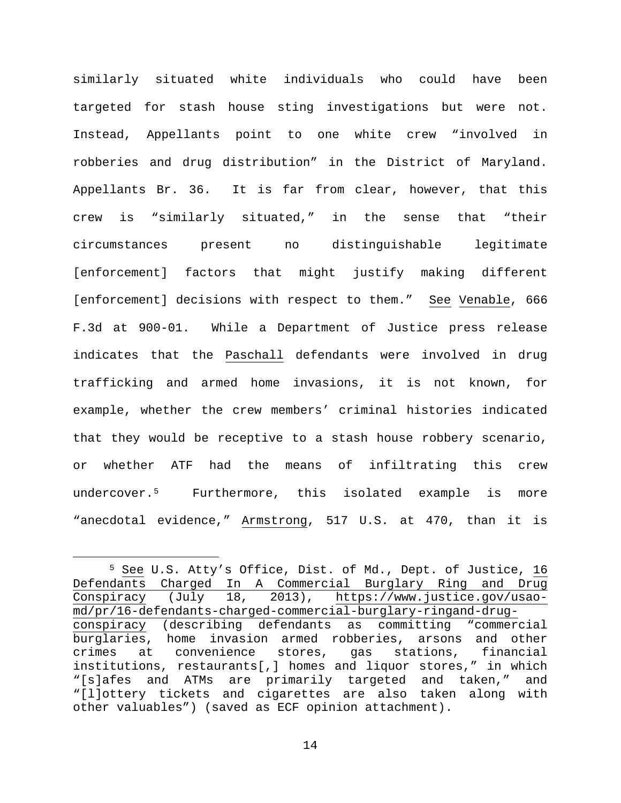similarly situated white individuals who could have been targeted for stash house sting investigations but were not. Instead, Appellants point to one white crew "involved in robberies and drug distribution" in the District of Maryland. Appellants Br. 36. It is far from clear, however, that this crew is "similarly situated," in the sense that "their circumstances present no distinguishable legitimate [enforcement] factors that might justify making different [enforcement] decisions with respect to them." See Venable, 666 F.3d at 900-01. While a Department of Justice press release indicates that the Paschall defendants were involved in drug trafficking and armed home invasions, it is not known, for example, whether the crew members' criminal histories indicated that they would be receptive to a stash house robbery scenario, or whether ATF had the means of infiltrating this crew undercover.[5](#page-13-0) Furthermore, this isolated example is more "anecdotal evidence," Armstrong, 517 U.S. at 470, than it is

<span id="page-13-0"></span> <sup>5</sup> See U.S. Atty's Office, Dist. of Md., Dept. of Justice, 16 Defendants Charged In A Commercial Burglary Ring and Drug Conspiracy (July 18, 2013), https://www.justice.gov/usaomd/pr/16-defendants-charged-commercial-burglary-ringand-drugconspiracy (describing defendants as committing "commercial burglaries, home invasion armed robberies, arsons and other<br>crimes at convenience stores, gas stations, financial convenience stores, institutions, restaurants[,] homes and liquor stores," in which "[s]afes and ATMs are primarily targeted and taken," and "[l]ottery tickets and cigarettes are also taken along with other valuables") (saved as ECF opinion attachment).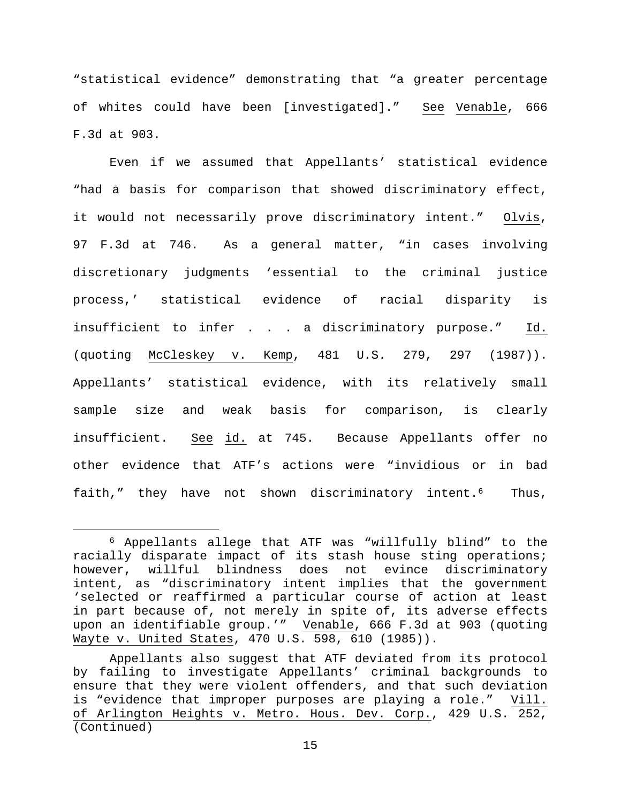"statistical evidence" demonstrating that "a greater percentage of whites could have been [investigated]." See Venable, 666 F.3d at 903.

Even if we assumed that Appellants' statistical evidence "had a basis for comparison that showed discriminatory effect, it would not necessarily prove discriminatory intent." Olvis, 97 F.3d at 746. As a general matter, "in cases involving discretionary judgments 'essential to the criminal justice process,' statistical evidence of racial disparity is insufficient to infer . . . a discriminatory purpose." Id. (quoting McCleskey v. Kemp, 481 U.S. 279, 297 (1987)). Appellants' statistical evidence, with its relatively small sample size and weak basis for comparison, is clearly insufficient. See id. at 745. Because Appellants offer no other evidence that ATF's actions were "invidious or in bad faith," they have not shown discriminatory intent.<sup>6</sup> Thus,

<span id="page-14-0"></span> <sup>6</sup> Appellants allege that ATF was "willfully blind" to the racially disparate impact of its stash house sting operations; however, willful blindness does not evince discriminatory intent, as "discriminatory intent implies that the government 'selected or reaffirmed a particular course of action at least in part because of, not merely in spite of, its adverse effects upon an identifiable group.'" Venable, 666 F.3d at 903 (quoting Wayte v. United States, 470 U.S. 598, 610 (1985)).

Appellants also suggest that ATF deviated from its protocol by failing to investigate Appellants' criminal backgrounds to ensure that they were violent offenders, and that such deviation is "evidence that improper purposes are playing a role." Vill. of Arlington Heights v. Metro. Hous. Dev. Corp., 429 U.S. 252, (Continued)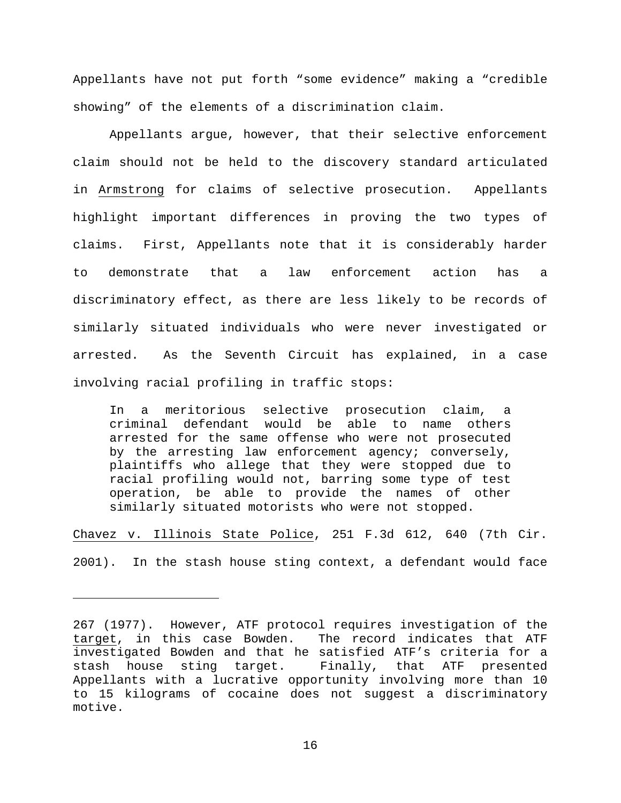Appellants have not put forth "some evidence" making a "credible showing" of the elements of a discrimination claim.

Appellants argue, however, that their selective enforcement claim should not be held to the discovery standard articulated in Armstrong for claims of selective prosecution. Appellants highlight important differences in proving the two types of claims. First, Appellants note that it is considerably harder to demonstrate that a law enforcement action has a discriminatory effect, as there are less likely to be records of similarly situated individuals who were never investigated or arrested. As the Seventh Circuit has explained, in a case involving racial profiling in traffic stops:

In a meritorious selective prosecution claim, a criminal defendant would be able to name others arrested for the same offense who were not prosecuted by the arresting law enforcement agency; conversely, plaintiffs who allege that they were stopped due to racial profiling would not, barring some type of test operation, be able to provide the names of other similarly situated motorists who were not stopped.

Chavez v. Illinois State Police, 251 F.3d 612, 640 (7th Cir. 2001). In the stash house sting context, a defendant would face

ī

<sup>267</sup> (1977). However, ATF protocol requires investigation of the target, in this case Bowden. The record indicates that ATF investigated Bowden and that he satisfied ATF's criteria for a Finally, that ATF presented Appellants with a lucrative opportunity involving more than 10 to 15 kilograms of cocaine does not suggest a discriminatory motive.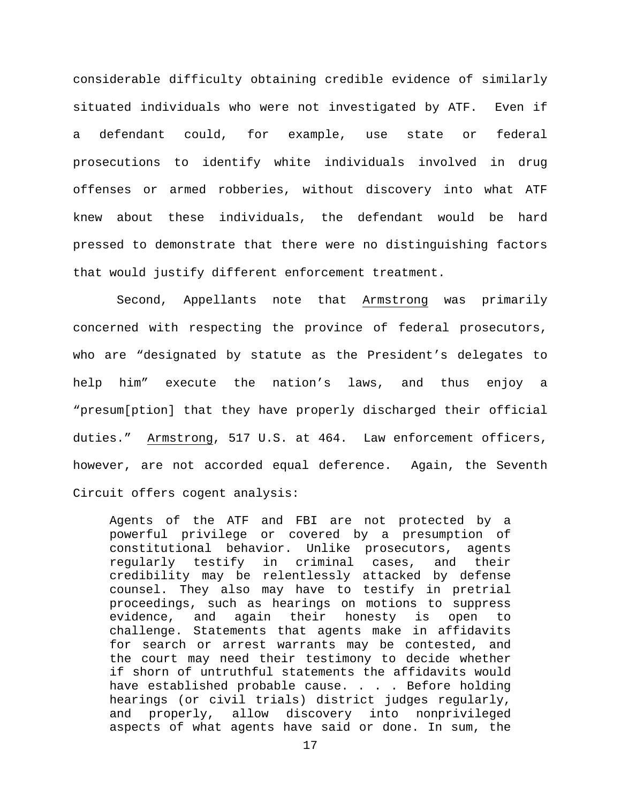considerable difficulty obtaining credible evidence of similarly situated individuals who were not investigated by ATF. Even if a defendant could, for example, use state or federal prosecutions to identify white individuals involved in drug offenses or armed robberies, without discovery into what ATF knew about these individuals, the defendant would be hard pressed to demonstrate that there were no distinguishing factors that would justify different enforcement treatment.

Second, Appellants note that Armstrong was primarily concerned with respecting the province of federal prosecutors, who are "designated by statute as the President's delegates to help him" execute the nation's laws, and thus enjoy a "presum[ption] that they have properly discharged their official duties." Armstrong, 517 U.S. at 464. Law enforcement officers, however, are not accorded equal deference. Again, the Seventh Circuit offers cogent analysis:

Agents of the ATF and FBI are not protected by a powerful privilege or covered by a presumption of constitutional behavior. Unlike prosecutors, agents<br>regularly testify in criminal cases, and their regularly testify in criminal cases, and their credibility may be relentlessly attacked by defense counsel. They also may have to testify in pretrial proceedings, such as hearings on motions to suppress evidence, and again their honesty is open to challenge. Statements that agents make in affidavits for search or arrest warrants may be contested, and the court may need their testimony to decide whether if shorn of untruthful statements the affidavits would have established probable cause. . . . Before holding hearings (or civil trials) district judges regularly, and properly, allow discovery into nonprivileged aspects of what agents have said or done. In sum, the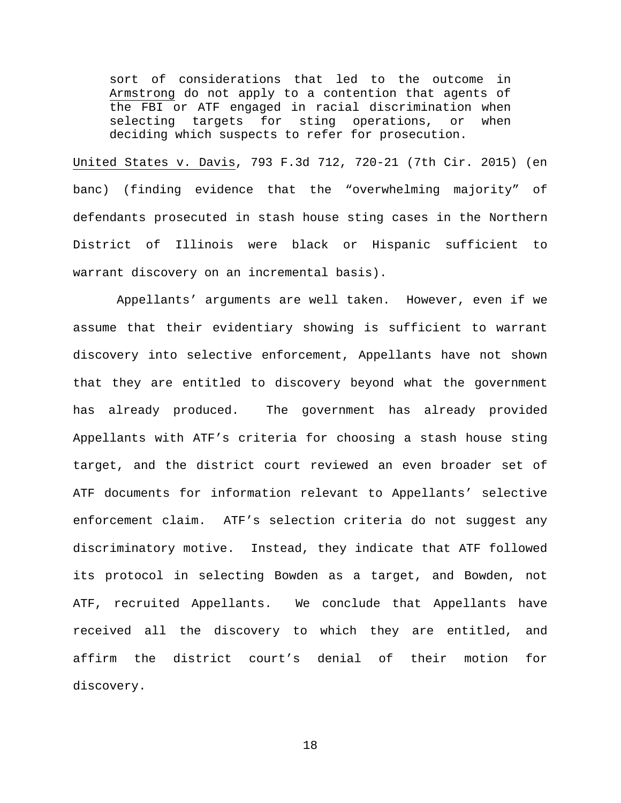sort of considerations that led to the outcome in Armstrong do not apply to a contention that agents of the FBI or ATF engaged in racial discrimination when selecting targets for sting operations, or when deciding which suspects to refer for prosecution.

United States v. Davis, 793 F.3d 712, 720-21 (7th Cir. 2015) (en banc) (finding evidence that the "overwhelming majority" of defendants prosecuted in stash house sting cases in the Northern District of Illinois were black or Hispanic sufficient to warrant discovery on an incremental basis).

Appellants' arguments are well taken. However, even if we assume that their evidentiary showing is sufficient to warrant discovery into selective enforcement, Appellants have not shown that they are entitled to discovery beyond what the government has already produced. The government has already provided Appellants with ATF's criteria for choosing a stash house sting target, and the district court reviewed an even broader set of ATF documents for information relevant to Appellants' selective enforcement claim. ATF's selection criteria do not suggest any discriminatory motive. Instead, they indicate that ATF followed its protocol in selecting Bowden as a target, and Bowden, not ATF, recruited Appellants. We conclude that Appellants have received all the discovery to which they are entitled, and affirm the district court's denial of their motion for discovery.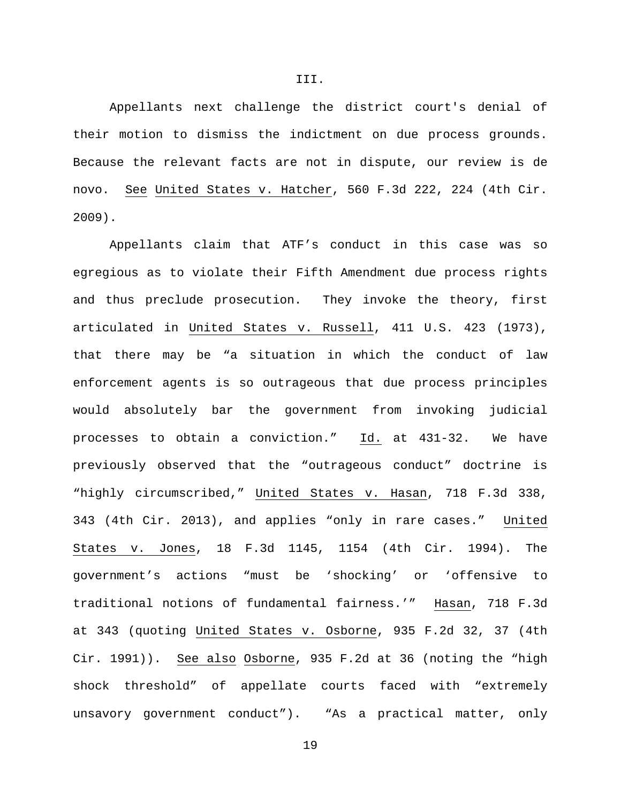Appellants next challenge the district court's denial of their motion to dismiss the indictment on due process grounds. Because the relevant facts are not in dispute, our review is de novo. See United States v. Hatcher, 560 F.3d 222, 224 (4th Cir. 2009).

Appellants claim that ATF's conduct in this case was so egregious as to violate their Fifth Amendment due process rights and thus preclude prosecution. They invoke the theory, first articulated in United States v. Russell, 411 U.S. 423 (1973), that there may be "a situation in which the conduct of law enforcement agents is so outrageous that due process principles would absolutely bar the government from invoking judicial processes to obtain a conviction." Id. at 431-32. We have previously observed that the "outrageous conduct" doctrine is "highly circumscribed," United States v. Hasan, 718 F.3d 338, 343 (4th Cir. 2013), and applies "only in rare cases." United States v. Jones, 18 F.3d 1145, 1154 (4th Cir. 1994). The government's actions "must be 'shocking' or 'offensive to traditional notions of fundamental fairness.'" Hasan, 718 F.3d at 343 (quoting United States v. Osborne, 935 F.2d 32, 37 (4th Cir. 1991)). See also Osborne, 935 F.2d at 36 (noting the "high shock threshold" of appellate courts faced with "extremely unsavory government conduct"). "As a practical matter, only

III.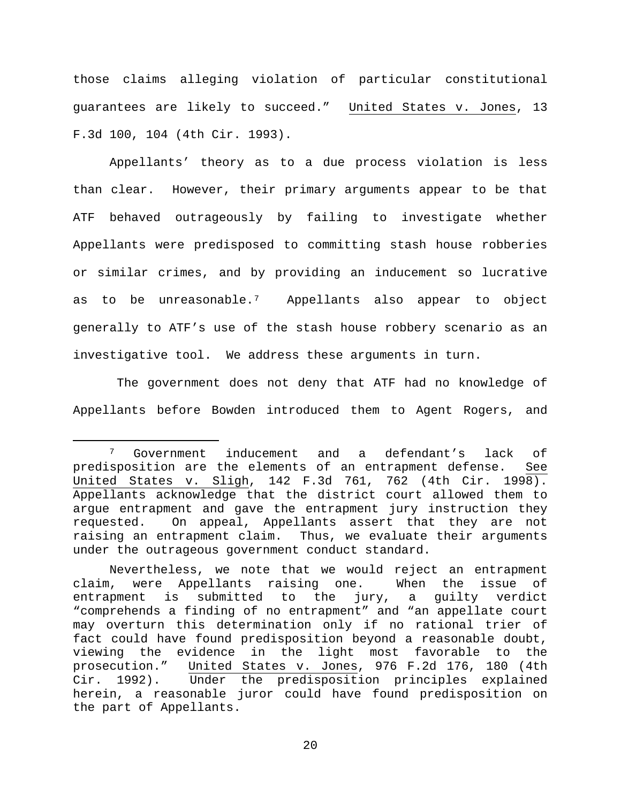those claims alleging violation of particular constitutional guarantees are likely to succeed." United States v. Jones, 13 F.3d 100, 104 (4th Cir. 1993).

Appellants' theory as to a due process violation is less than clear. However, their primary arguments appear to be that ATF behaved outrageously by failing to investigate whether Appellants were predisposed to committing stash house robberies or similar crimes, and by providing an inducement so lucrative as to be unreasonable.[7](#page-19-0) Appellants also appear to object generally to ATF's use of the stash house robbery scenario as an investigative tool. We address these arguments in turn.

The government does not deny that ATF had no knowledge of Appellants before Bowden introduced them to Agent Rogers, and

<span id="page-19-0"></span> <sup>7</sup> Government inducement and a defendant's lack of predisposition are the elements of an entrapment defense. See United States v. Sligh, 142 F.3d 761, 762 (4th Cir. 1998). Appellants acknowledge that the district court allowed them to argue entrapment and gave the entrapment jury instruction they requested. On appeal, Appellants assert that they are not raising an entrapment claim. Thus, we evaluate their arguments under the outrageous government conduct standard.

Nevertheless, we note that we would reject an entrapment claim, were Appellants raising one. When the issue of entrapment is submitted to the jury, a guilty verdict "comprehends a finding of no entrapment" and "an appellate court may overturn this determination only if no rational trier of fact could have found predisposition beyond a reasonable doubt, viewing the evidence in the light most favorable to the prosecution." United States v. Jones, 976 F.2d 176, 180 (4th<br>Cir. 1992). Under the predisposition principles explained Under the predisposition principles explained herein, a reasonable juror could have found predisposition on the part of Appellants.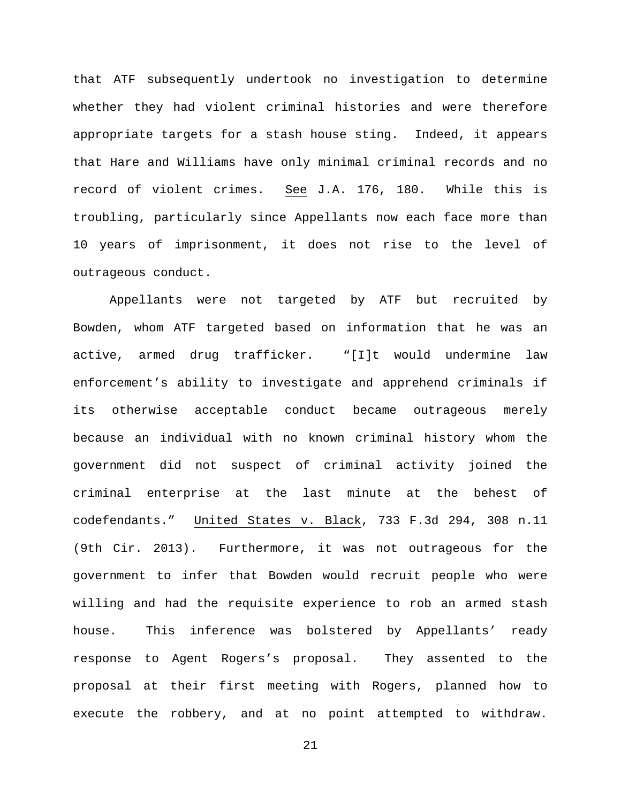that ATF subsequently undertook no investigation to determine whether they had violent criminal histories and were therefore appropriate targets for a stash house sting. Indeed, it appears that Hare and Williams have only minimal criminal records and no record of violent crimes. See J.A. 176, 180. While this is troubling, particularly since Appellants now each face more than 10 years of imprisonment, it does not rise to the level of outrageous conduct.

Appellants were not targeted by ATF but recruited by Bowden, whom ATF targeted based on information that he was an active, armed drug trafficker. "[I]t would undermine law enforcement's ability to investigate and apprehend criminals if its otherwise acceptable conduct became outrageous merely because an individual with no known criminal history whom the government did not suspect of criminal activity joined the criminal enterprise at the last minute at the behest of codefendants." United States v. Black, 733 F.3d 294, 308 n.11 (9th Cir. 2013). Furthermore, it was not outrageous for the government to infer that Bowden would recruit people who were willing and had the requisite experience to rob an armed stash house. This inference was bolstered by Appellants' ready response to Agent Rogers's proposal. They assented to the proposal at their first meeting with Rogers, planned how to execute the robbery, and at no point attempted to withdraw.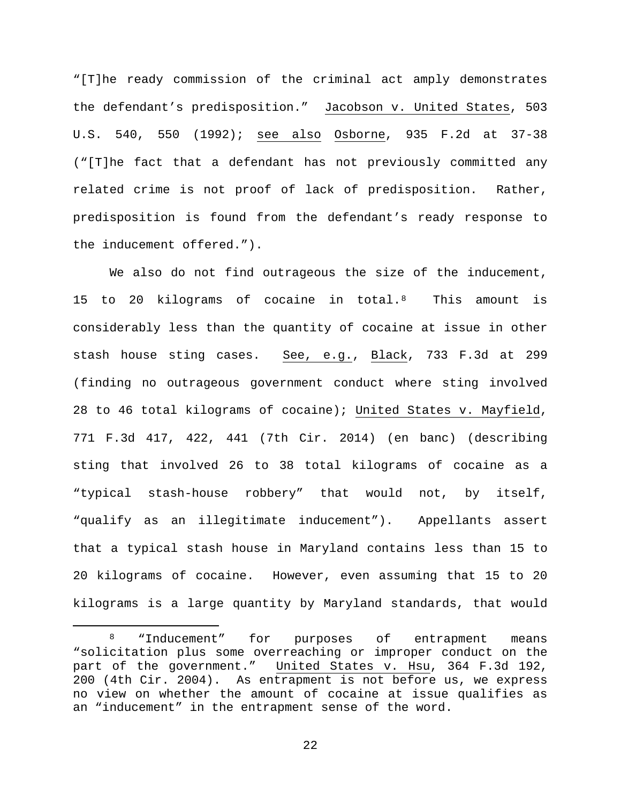"[T]he ready commission of the criminal act amply demonstrates the defendant's predisposition." Jacobson v. United States, 503 U.S. 540, 550 (1992); see also Osborne, 935 F.2d at 37-38 ("[T]he fact that a defendant has not previously committed any related crime is not proof of lack of predisposition. Rather, predisposition is found from the defendant's ready response to the inducement offered.").

We also do not find outrageous the size of the inducement, 15 to 20 kilograms of cocaine in total.<sup>8</sup> This amount is considerably less than the quantity of cocaine at issue in other stash house sting cases. See, e.g., Black, 733 F.3d at 299 (finding no outrageous government conduct where sting involved 28 to 46 total kilograms of cocaine); United States v. Mayfield, 771 F.3d 417, 422, 441 (7th Cir. 2014) (en banc) (describing sting that involved 26 to 38 total kilograms of cocaine as a "typical stash-house robbery" that would not, by itself, "qualify as an illegitimate inducement"). Appellants assert that a typical stash house in Maryland contains less than 15 to 20 kilograms of cocaine. However, even assuming that 15 to 20 kilograms is a large quantity by Maryland standards, that would

<span id="page-21-0"></span><sup>8 &</sup>quot;Inducement" for purposes of entrapment means "solicitation plus some overreaching or improper conduct on the part of the government." United States v. Hsu, 364 F.3d 192, 200 (4th Cir. 2004). As entrapment is not before us, we express no view on whether the amount of cocaine at issue qualifies as an "inducement" in the entrapment sense of the word.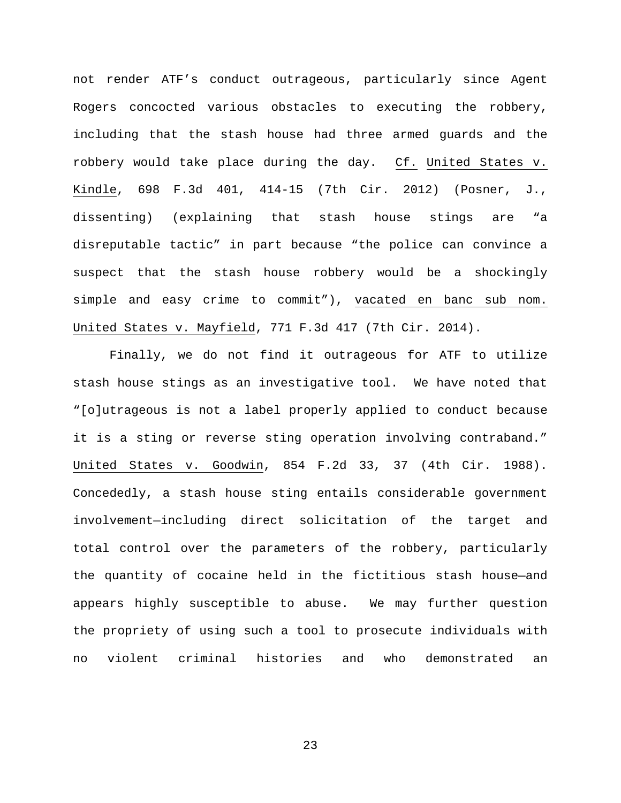not render ATF's conduct outrageous, particularly since Agent Rogers concocted various obstacles to executing the robbery, including that the stash house had three armed guards and the robbery would take place during the day. Cf. United States v. Kindle, 698 F.3d 401, 414-15 (7th Cir. 2012) (Posner, J., dissenting) (explaining that stash house stings are "a disreputable tactic" in part because "the police can convince a suspect that the stash house robbery would be a shockingly simple and easy crime to commit"), vacated en banc sub nom. United States v. Mayfield, 771 F.3d 417 (7th Cir. 2014).

Finally, we do not find it outrageous for ATF to utilize stash house stings as an investigative tool. We have noted that "[o]utrageous is not a label properly applied to conduct because it is a sting or reverse sting operation involving contraband." United States v. Goodwin, 854 F.2d 33, 37 (4th Cir. 1988). Concededly, a stash house sting entails considerable government involvement—including direct solicitation of the target and total control over the parameters of the robbery, particularly the quantity of cocaine held in the fictitious stash house—and appears highly susceptible to abuse. We may further question the propriety of using such a tool to prosecute individuals with no violent criminal histories and who demonstrated an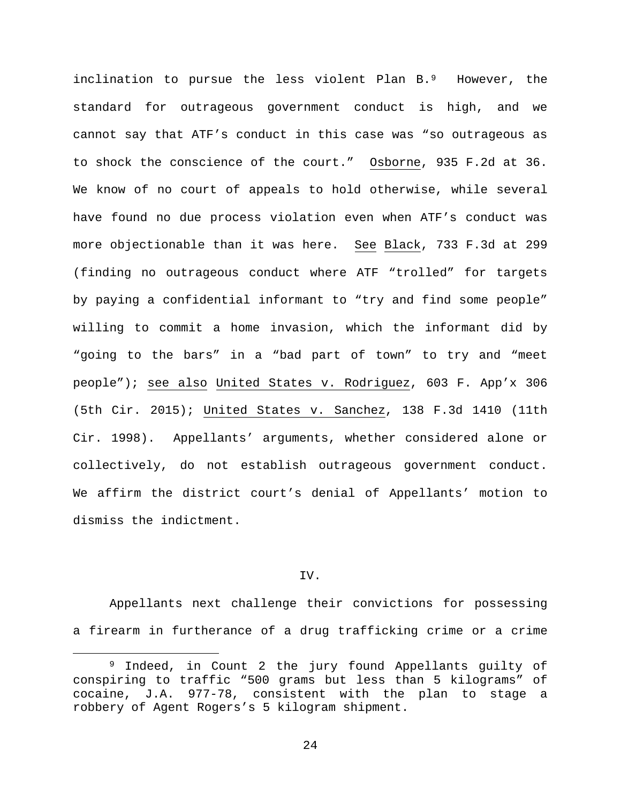inclination to pursue the less violent Plan B.<sup>[9](#page-23-0)</sup> However, the standard for outrageous government conduct is high, and we cannot say that ATF's conduct in this case was "so outrageous as to shock the conscience of the court." Osborne, 935 F.2d at 36. We know of no court of appeals to hold otherwise, while several have found no due process violation even when ATF's conduct was more objectionable than it was here. See Black, 733 F.3d at 299 (finding no outrageous conduct where ATF "trolled" for targets by paying a confidential informant to "try and find some people" willing to commit a home invasion, which the informant did by "going to the bars" in a "bad part of town" to try and "meet people"); see also United States v. Rodriguez, 603 F. App'x 306 (5th Cir. 2015); United States v. Sanchez, 138 F.3d 1410 (11th Cir. 1998). Appellants' arguments, whether considered alone or collectively, do not establish outrageous government conduct. We affirm the district court's denial of Appellants' motion to dismiss the indictment.

# IV.

Appellants next challenge their convictions for possessing a firearm in furtherance of a drug trafficking crime or a crime

<span id="page-23-0"></span> <sup>9</sup> Indeed, in Count 2 the jury found Appellants guilty of conspiring to traffic "500 grams but less than 5 kilograms" of cocaine, J.A. 977-78, consistent with the plan to stage a robbery of Agent Rogers's 5 kilogram shipment.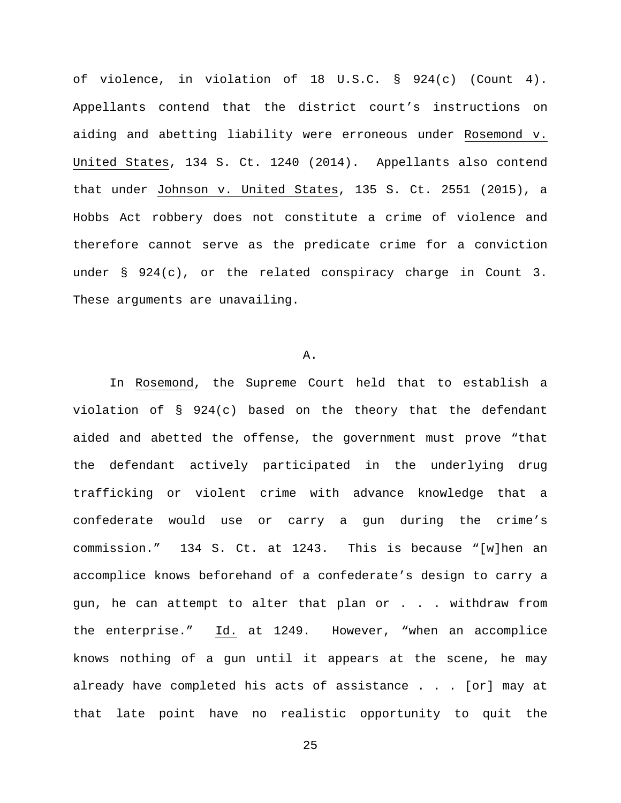of violence, in violation of 18 U.S.C. § 924(c) (Count 4). Appellants contend that the district court's instructions on aiding and abetting liability were erroneous under Rosemond v. United States, 134 S. Ct. 1240 (2014). Appellants also contend that under Johnson v. United States, 135 S. Ct. 2551 (2015), a Hobbs Act robbery does not constitute a crime of violence and therefore cannot serve as the predicate crime for a conviction under § 924(c), or the related conspiracy charge in Count 3. These arguments are unavailing.

### A.

In Rosemond, the Supreme Court held that to establish a violation of § 924(c) based on the theory that the defendant aided and abetted the offense, the government must prove "that the defendant actively participated in the underlying drug trafficking or violent crime with advance knowledge that a confederate would use or carry a gun during the crime's commission." 134 S. Ct. at 1243. This is because "[w]hen an accomplice knows beforehand of a confederate's design to carry a gun, he can attempt to alter that plan or . . . withdraw from the enterprise." Id. at 1249. However, "when an accomplice knows nothing of a gun until it appears at the scene, he may already have completed his acts of assistance . . . [or] may at that late point have no realistic opportunity to quit the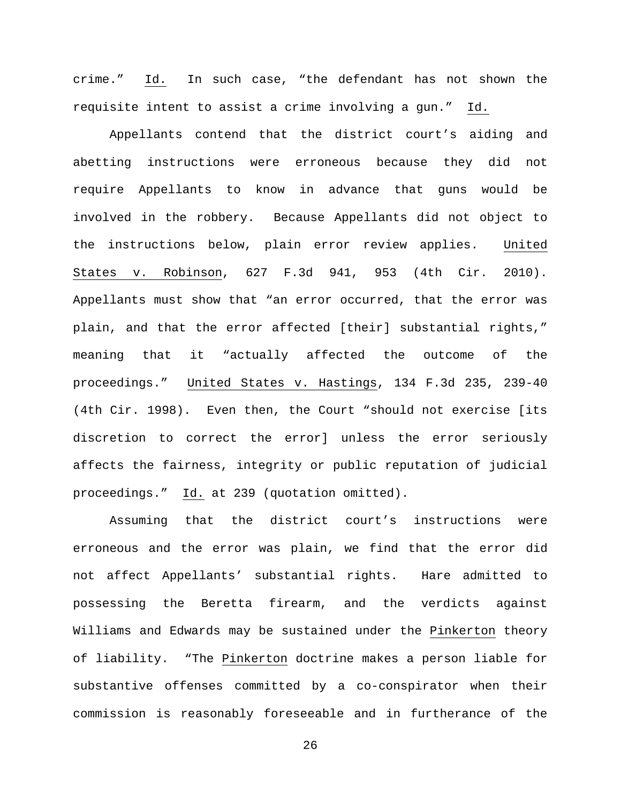crime." Id. In such case, "the defendant has not shown the requisite intent to assist a crime involving a gun." Id.

Appellants contend that the district court's aiding and abetting instructions were erroneous because they did not require Appellants to know in advance that guns would be involved in the robbery. Because Appellants did not object to the instructions below, plain error review applies. United States v. Robinson, 627 F.3d 941, 953 (4th Cir. 2010). Appellants must show that "an error occurred, that the error was plain, and that the error affected [their] substantial rights," meaning that it "actually affected the outcome of the proceedings." United States v. Hastings, 134 F.3d 235, 239-40 (4th Cir. 1998). Even then, the Court "should not exercise [its discretion to correct the error] unless the error seriously affects the fairness, integrity or public reputation of judicial proceedings." Id. at 239 (quotation omitted).

Assuming that the district court's instructions were erroneous and the error was plain, we find that the error did not affect Appellants' substantial rights. Hare admitted to possessing the Beretta firearm, and the verdicts against Williams and Edwards may be sustained under the Pinkerton theory of liability. "The Pinkerton doctrine makes a person liable for substantive offenses committed by a co-conspirator when their commission is reasonably foreseeable and in furtherance of the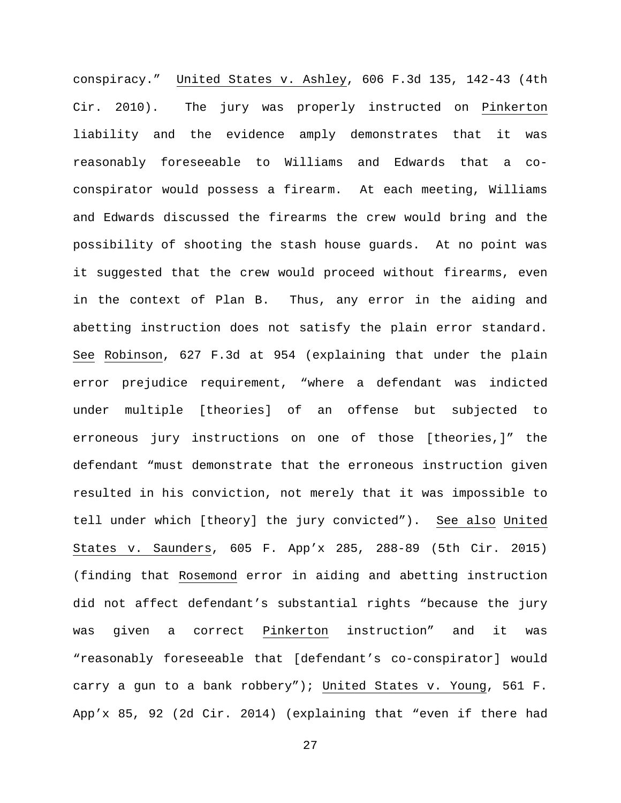conspiracy." United States v. Ashley, 606 F.3d 135, 142-43 (4th Cir. 2010). The jury was properly instructed on Pinkerton liability and the evidence amply demonstrates that it was reasonably foreseeable to Williams and Edwards that a coconspirator would possess a firearm. At each meeting, Williams and Edwards discussed the firearms the crew would bring and the possibility of shooting the stash house guards. At no point was it suggested that the crew would proceed without firearms, even in the context of Plan B. Thus, any error in the aiding and abetting instruction does not satisfy the plain error standard. See Robinson, 627 F.3d at 954 (explaining that under the plain error prejudice requirement, "where a defendant was indicted under multiple [theories] of an offense but subjected to erroneous jury instructions on one of those [theories,]" the defendant "must demonstrate that the erroneous instruction given resulted in his conviction, not merely that it was impossible to tell under which [theory] the jury convicted"). See also United States v. Saunders, 605 F. App'x 285, 288-89 (5th Cir. 2015) (finding that Rosemond error in aiding and abetting instruction did not affect defendant's substantial rights "because the jury was given a correct Pinkerton instruction" and it was "reasonably foreseeable that [defendant's co-conspirator] would carry a gun to a bank robbery"); United States v. Young, 561 F. App'x 85, 92 (2d Cir. 2014) (explaining that "even if there had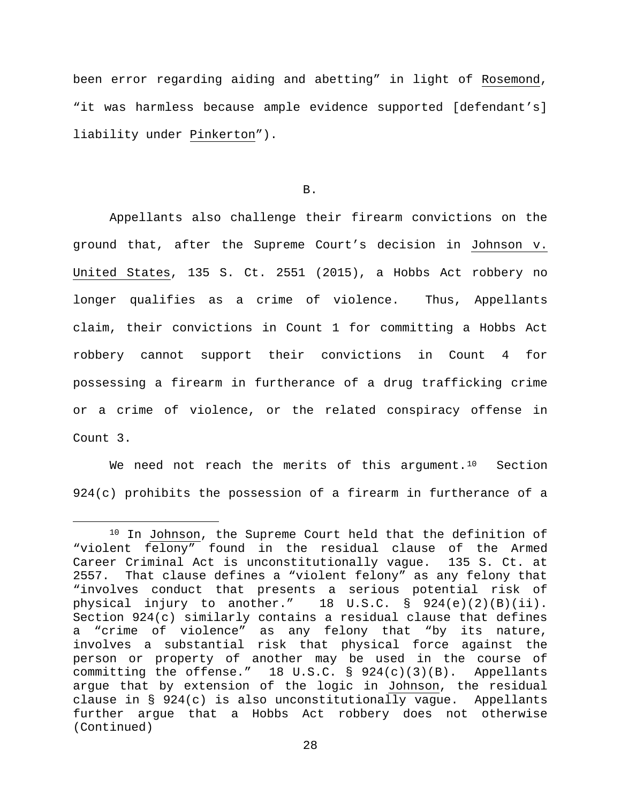been error regarding aiding and abetting" in light of Rosemond, "it was harmless because ample evidence supported [defendant's] liability under Pinkerton").

B.

Appellants also challenge their firearm convictions on the ground that, after the Supreme Court's decision in Johnson v. United States, 135 S. Ct. 2551 (2015), a Hobbs Act robbery no longer qualifies as a crime of violence. Thus, Appellants claim, their convictions in Count 1 for committing a Hobbs Act robbery cannot support their convictions in Count 4 for possessing a firearm in furtherance of a drug trafficking crime or a crime of violence, or the related conspiracy offense in Count 3.

We need not reach the merits of this argument.<sup>[10](#page-27-0)</sup> Section 924(c) prohibits the possession of a firearm in furtherance of a

<span id="page-27-0"></span><sup>&</sup>lt;sup>10</sup> In Johnson, the Supreme Court held that the definition of "violent felony" found in the residual clause of the Armed Career Criminal Act is unconstitutionally vague. 2557. That clause defines a "violent felony" as any felony that "involves conduct that presents a serious potential risk of physical injury to another." 18 U.S.C. § 924(e)(2)(B)(ii). Section 924(c) similarly contains a residual clause that defines a "crime of violence" as any felony that "by its nature, involves a substantial risk that physical force against the person or property of another may be used in the course of committing the offense." 18 U.S.C. § 924(c)(3)(B). Appellants argue that by extension of the logic in Johnson, the residual clause in § 924(c) is also unconstitutionally vague. Appellants further argue that a Hobbs Act robbery does not otherwise (Continued)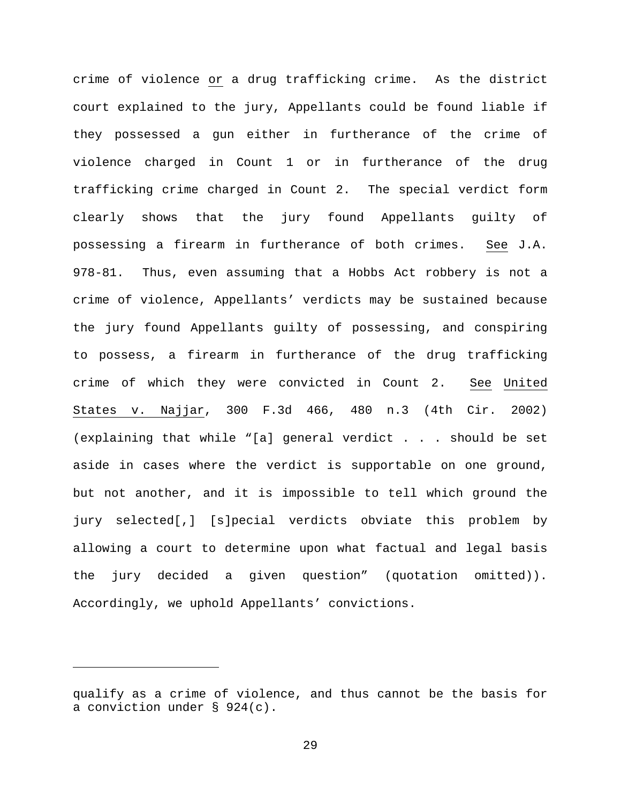crime of violence or a drug trafficking crime. As the district court explained to the jury, Appellants could be found liable if they possessed a gun either in furtherance of the crime of violence charged in Count 1 or in furtherance of the drug trafficking crime charged in Count 2. The special verdict form clearly shows that the jury found Appellants guilty of possessing a firearm in furtherance of both crimes. See J.A. 978-81. Thus, even assuming that a Hobbs Act robbery is not a crime of violence, Appellants' verdicts may be sustained because the jury found Appellants guilty of possessing, and conspiring to possess, a firearm in furtherance of the drug trafficking crime of which they were convicted in Count 2. See United States v. Najjar, 300 F.3d 466, 480 n.3 (4th Cir. 2002) (explaining that while "[a] general verdict . . . should be set aside in cases where the verdict is supportable on one ground, but not another, and it is impossible to tell which ground the jury selected[,] [s]pecial verdicts obviate this problem by allowing a court to determine upon what factual and legal basis the jury decided a given question" (quotation omitted)). Accordingly, we uphold Appellants' convictions.

ī

qualify as a crime of violence, and thus cannot be the basis for a conviction under § 924(c).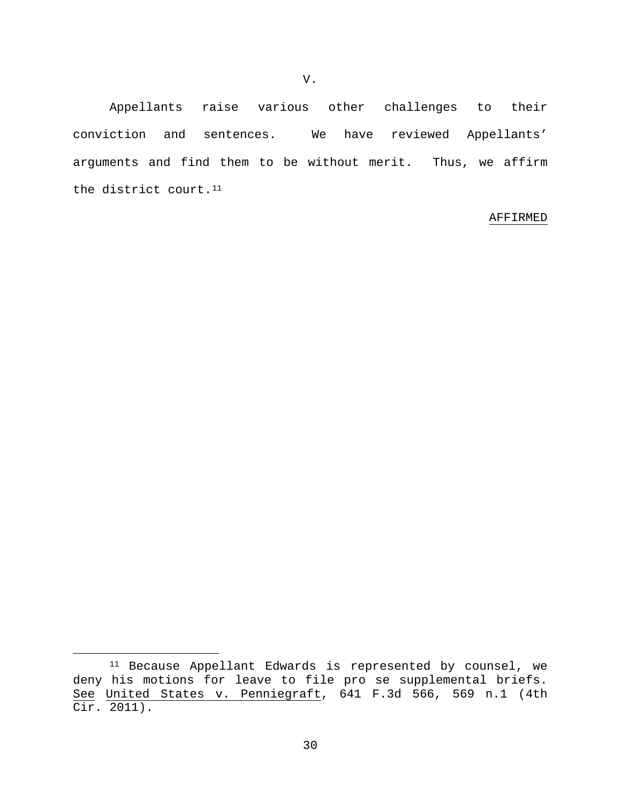Appellants raise various other challenges to their conviction and sentences. We have reviewed Appellants' arguments and find them to be without merit. Thus, we affirm the district court.<sup>[11](#page-29-0)</sup>

### AFFIRMED

<span id="page-29-0"></span> <sup>11</sup> Because Appellant Edwards is represented by counsel, we deny his motions for leave to file pro se supplemental briefs. See United States v. Penniegraft, 641 F.3d 566, 569 n.1 (4th Cir. 2011).